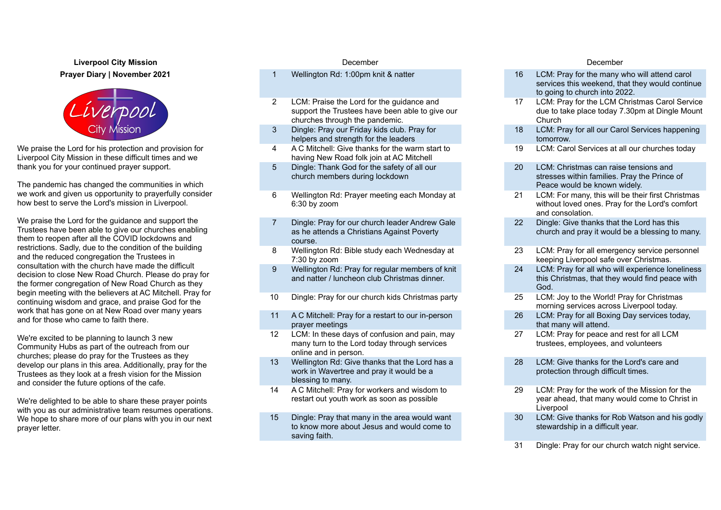**Liverpool City Mission** December December **Prayer Diary | November 2021**



We praise the Lord for his protection and provision for Liverpool City Mission in these difficult times and we thank you for your continued prayer support.

The pandemic has changed the communities in which we work and given us opportunity to prayerfully consider how best to serve the Lord's mission in Liverpool.

We praise the Lord for the guidance and support the Trustees have been able to give our churches enabling them to reopen after all the COVID lockdowns and restrictions. Sadly, due to the condition of the building and the reduced congregation the Trustees in consultation with the church have made the difficult decision to close New Road Church. Please do pray for the former congregation of New Road Church as they begin meeting with the believers at AC Mitchell. Pray for continuing wisdom and grace, and praise God for the work that has gone on at New Road over many years and for those who came to faith there.

We're excited to be planning to launch 3 new Community Hubs as part of the outreach from our churches; please do pray for the Trustees as they develop our plans in this area. Additionally, pray for the Trustees as they look at a fresh vision for the Mission and consider the future options of the cafe.

We're delighted to be able to share these prayer points with you as our administrative team resumes operations. We hope to share more of our plans with you in our next prayer letter.

- 
- 2 LCM: Praise the Lord for the guidance and support the Trustees have been able to give our churches through the pandemic.
- 3 Dingle: Pray our Friday kids club. Pray for helpers and strength for the leaders
- 4 A C Mitchell: Give thanks for the warm start to having New Road folk join at AC Mitchell
- 5 Dingle: Thank God for the safety of all our church members during lockdown
- 6 Wellington Rd: Prayer meeting each Monday at 6:30 by zoom
- 7 Dingle: Pray for our church leader Andrew Gale as he attends a Christians Against Poverty course.
- 8 Wellington Rd: Bible study each Wednesday at 7:30 by zoom
- 9 Wellington Rd: Pray for regular members of knit and natter / luncheon club Christmas dinner.
- 10 Dingle: Pray for our church kids Christmas party 25 LCM: Joy to the World! Pray for Christmas
- 11 A C Mitchell: Pray for a restart to our in-person prayer meetings
- 12 LCM: In these days of confusion and pain, may many turn to the Lord today through services online and in person.
- 13 Wellington Rd: Give thanks that the Lord has a work in Wavertree and pray it would be a blessing to many.
- 14 A C Mitchell: Pray for workers and wisdom to restart out youth work as soon as possible
- 15 Dingle: Pray that many in the area would want to know more about Jesus and would come to saving faith.

- 1 Wellington Rd: 1:00pm knit & natter 16 LCM: Pray for the many who will attend carol services this weekend, that they would continue to going to church into 2022.
	- 17 LCM: Pray for the LCM Christmas Carol Service due to take place today 7.30pm at Dingle Mount Church
	- 18 LCM: Pray for all our Carol Services happening tomorrow.
	- 19 LCM: Carol Services at all our churches today
	- 20 LCM: Christmas can raise tensions and stresses within families. Pray the Prince of Peace would be known widely.
	- 21 LCM: For many, this will be their first Christmas without loved ones. Pray for the Lord's comfort and consolation.
	- 22 Dingle: Give thanks that the Lord has this church and pray it would be a blessing to many.
	- 23 LCM: Pray for all emergency service personnel keeping Liverpool safe over Christmas.
	- 24 LCM: Pray for all who will experience loneliness this Christmas, that they would find peace with God.
	- morning services across Liverpool today.
	- 26 LCM: Pray for all Boxing Day services today, that many will attend.
	- 27 LCM: Pray for peace and rest for all LCM trustees, employees, and volunteers
	- 28 LCM: Give thanks for the Lord's care and protection through difficult times.
	- 29 LCM: Pray for the work of the Mission for the year ahead, that many would come to Christ in **Liverpool**
	- 30 LCM: Give thanks for Rob Watson and his godly stewardship in a difficult year.
	- 31 Dingle: Pray for our church watch night service.